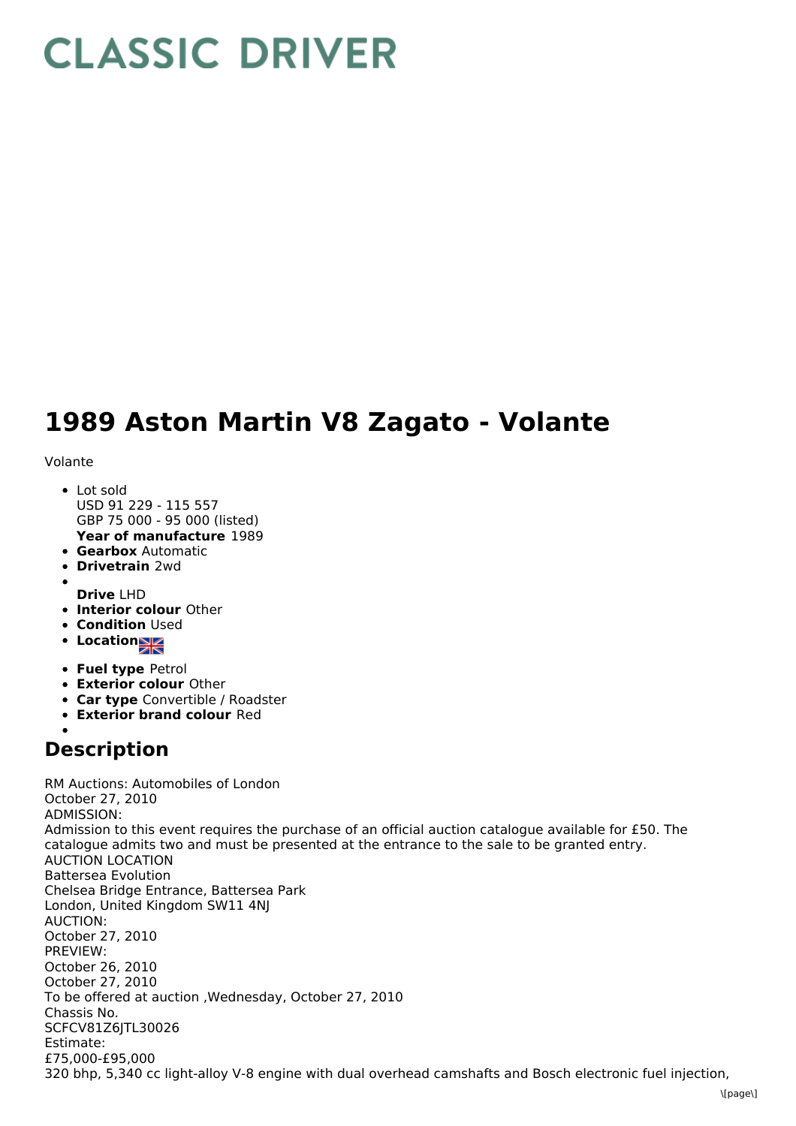## **CLASSIC DRIVER**

## **1989 Aston Martin V8 Zagato - Volante**

Volante

- **Year of manufacture** 1989 Lot sold USD 91 229 - 115 557 GBP 75 000 - 95 000 (listed)
- **Gearbox** Automatic
- **Drivetrain** 2wd
- **Drive** LHD
- **Interior colour** Other
- **Condition Used**
- Location
- **Fuel type** Petrol
- **Exterior colour** Other
- **Car type** Convertible / Roadster
- **Exterior brand colour** Red

## **Description**

RM Auctions: Automobiles of London October 27, 2010 ADMISSION: Admission to this event requires the purchase of an official auction catalogue available for £50. The catalogue admits two and must be presented at the entrance to the sale to be granted entry. AUCTION LOCATION Battersea Evolution Chelsea Bridge Entrance, Battersea Park London, United Kingdom SW11 4NJ AUCTION: October 27, 2010 PREVIEW: October 26, 2010 October 27, 2010 To be offered at auction ,Wednesday, October 27, 2010 Chassis No. SCFCV81Z6JTL30026 Estimate: £75,000-£95,000 320 bhp, 5,340 cc light-alloy V-8 engine with dual overhead camshafts and Bosch electronic fuel injection,